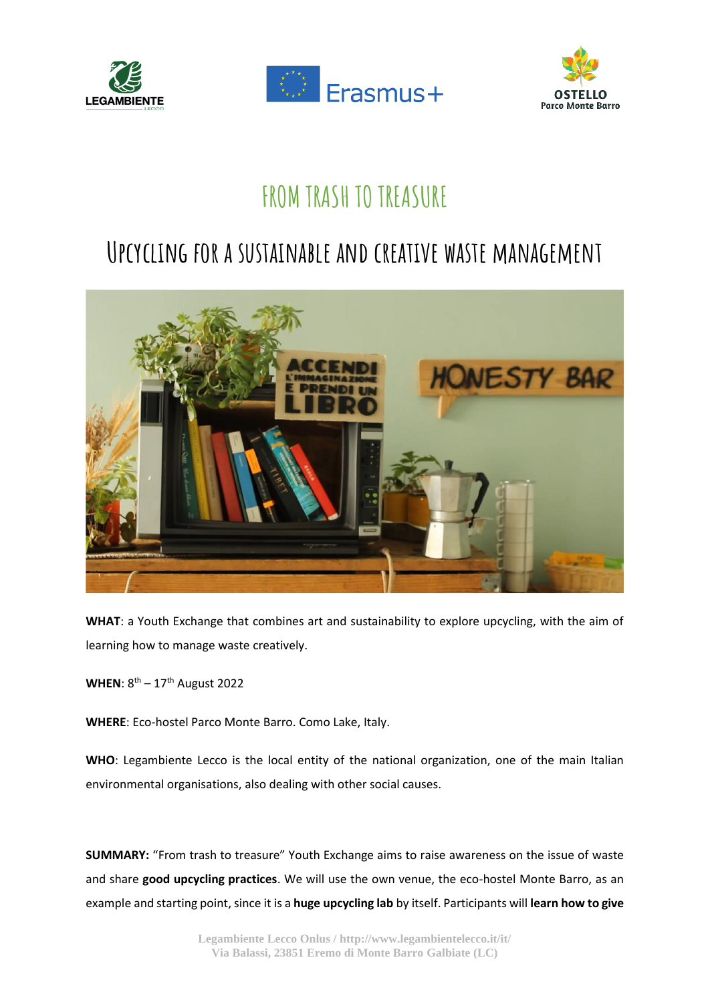





## **FROM TRASH TO TREASURE**

## **Upcycling for a sustainable and creative waste management**



**WHAT**: a Youth Exchange that combines art and sustainability to explore upcycling, with the aim of learning how to manage waste creatively.

WHEN: 8<sup>th</sup> – 17<sup>th</sup> August 2022

**WHERE**: Eco-hostel Parco Monte Barro. Como Lake, Italy.

**WHO**: Legambiente Lecco is the local entity of the national organization, one of the main Italian environmental organisations, also dealing with other social causes.

**SUMMARY:** "From trash to treasure" Youth Exchange aims to raise awareness on the issue of waste and share **good upcycling practices**. We will use the own venue, the eco-hostel Monte Barro, as an example and starting point, since it is a **huge upcycling lab** by itself. Participants will **learn how to give**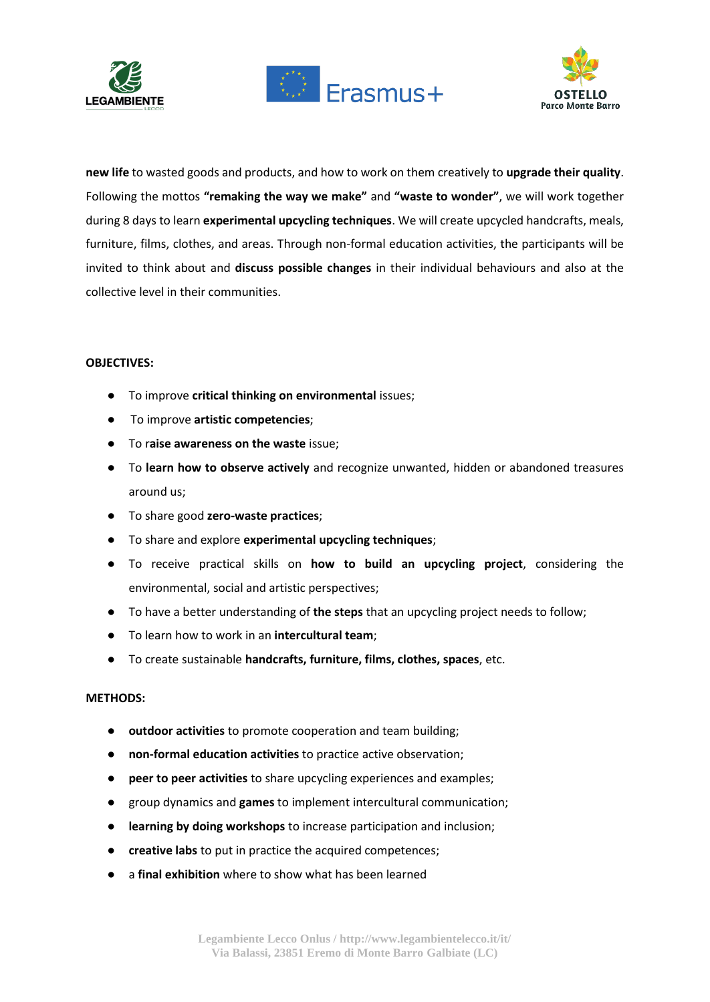





**new life** to wasted goods and products, and how to work on them creatively to **upgrade their quality**. Following the mottos **"remaking the way we make"** and **"waste to wonder"**, we will work together during 8 days to learn **experimental upcycling techniques**. We will create upcycled handcrafts, meals, furniture, films, clothes, and areas. Through non-formal education activities, the participants will be invited to think about and **discuss possible changes** in their individual behaviours and also at the collective level in their communities.

## **OBJECTIVES:**

- To improve **critical thinking on environmental** issues;
- To improve **artistic competencies**;
- To r**aise awareness on the waste** issue;
- To **learn how to observe actively** and recognize unwanted, hidden or abandoned treasures around us;
- To share good **zero-waste practices**;
- To share and explore **experimental upcycling techniques**;
- To receive practical skills on **how to build an upcycling project**, considering the environmental, social and artistic perspectives;
- To have a better understanding of the steps that an upcycling project needs to follow;
- To learn how to work in an **intercultural team**;
- To create sustainable **handcrafts, furniture, films, clothes, spaces**, etc.

## **METHODS:**

- outdoor activities to promote cooperation and team building;
- **non-formal education activities** to practice active observation;
- **peer to peer activities** to share upcycling experiences and examples;
- group dynamics and **games** to implement intercultural communication;
- **learning by doing workshops** to increase participation and inclusion;
- **creative labs** to put in practice the acquired competences;
- a **final exhibition** where to show what has been learned